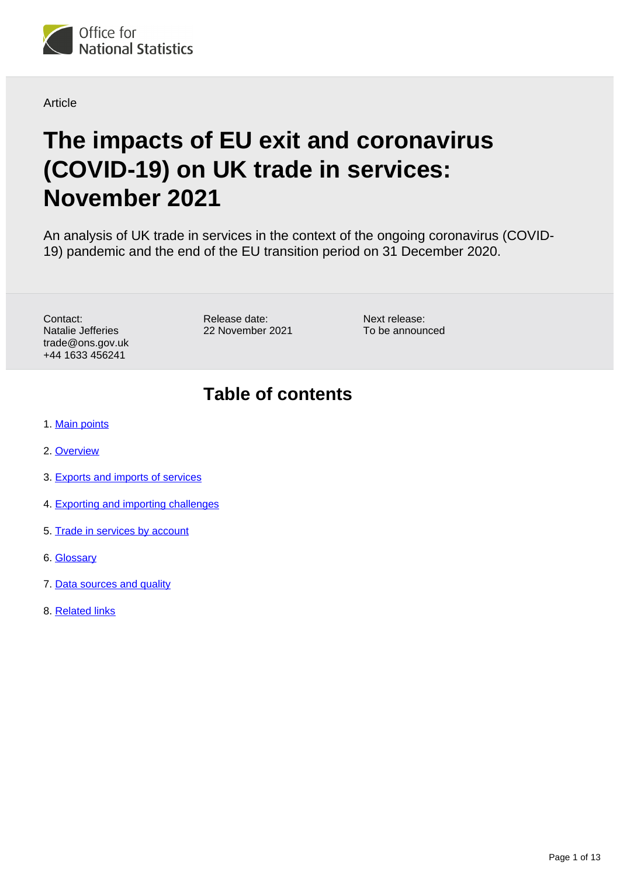

#### **Article**

# **The impacts of EU exit and coronavirus (COVID-19) on UK trade in services: November 2021**

An analysis of UK trade in services in the context of the ongoing coronavirus (COVID-19) pandemic and the end of the EU transition period on 31 December 2020.

Contact: Natalie Jefferies trade@ons.gov.uk +44 1633 456241

Release date: 22 November 2021 Next release: To be announced

## **Table of contents**

- 1. [Main points](#page-1-0)
- 2. [Overview](#page-2-0)
- 3. [Exports and imports of services](#page-3-0)
- 4. [Exporting and importing challenges](#page-4-0)
- 5. [Trade in services by account](#page-7-0)
- 6. [Glossary](#page-10-0)
- 7. [Data sources and quality](#page-11-0)
- 8. [Related links](#page-12-0)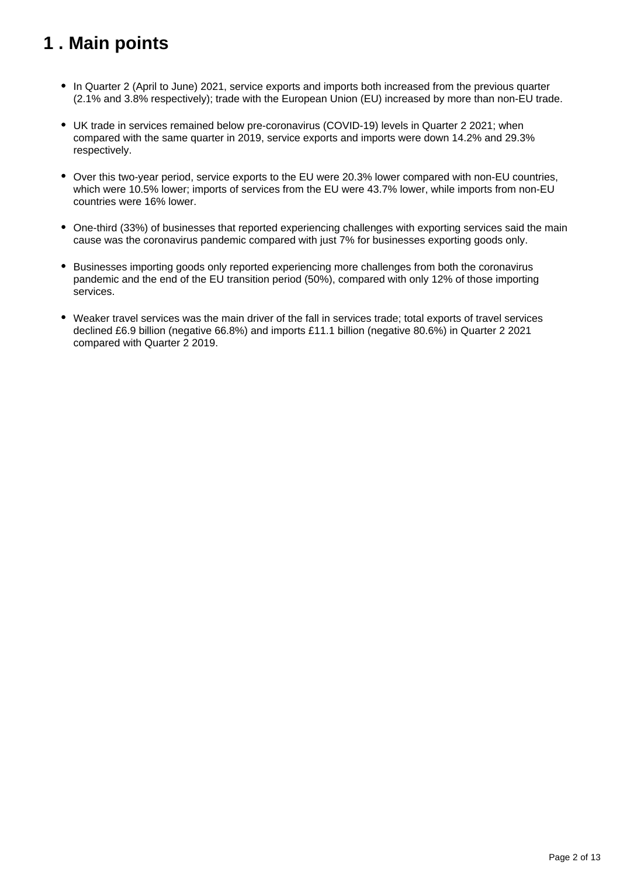## <span id="page-1-0"></span>**1 . Main points**

- In Quarter 2 (April to June) 2021, service exports and imports both increased from the previous quarter (2.1% and 3.8% respectively); trade with the European Union (EU) increased by more than non-EU trade.
- UK trade in services remained below pre-coronavirus (COVID-19) levels in Quarter 2 2021; when compared with the same quarter in 2019, service exports and imports were down 14.2% and 29.3% respectively.
- Over this two-year period, service exports to the EU were 20.3% lower compared with non-EU countries, which were 10.5% lower; imports of services from the EU were 43.7% lower, while imports from non-EU countries were 16% lower.
- One-third (33%) of businesses that reported experiencing challenges with exporting services said the main cause was the coronavirus pandemic compared with just 7% for businesses exporting goods only.
- Businesses importing goods only reported experiencing more challenges from both the coronavirus pandemic and the end of the EU transition period (50%), compared with only 12% of those importing services.
- Weaker travel services was the main driver of the fall in services trade; total exports of travel services declined £6.9 billion (negative 66.8%) and imports £11.1 billion (negative 80.6%) in Quarter 2 2021 compared with Quarter 2 2019.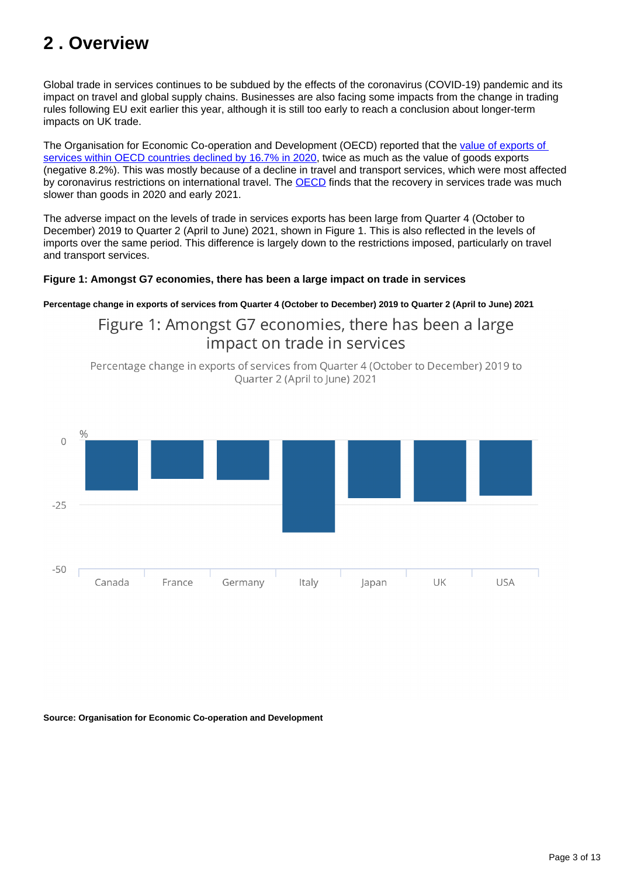## <span id="page-2-0"></span>**2 . Overview**

Global trade in services continues to be subdued by the effects of the coronavirus (COVID-19) pandemic and its impact on travel and global supply chains. Businesses are also facing some impacts from the change in trading rules following EU exit earlier this year, although it is still too early to reach a conclusion about longer-term impacts on UK trade.

The Organisation for Economic Co-operation and Development (OECD) reported that the [value of exports of](https://www.oecd-ilibrary.org/trade/the-impact-of-covid-19-on-directions-and-structure-of-international-trade_0b8eaafe-en)  [services within OECD countries declined by 16.7% in 2020](https://www.oecd-ilibrary.org/trade/the-impact-of-covid-19-on-directions-and-structure-of-international-trade_0b8eaafe-en), twice as much as the value of goods exports (negative 8.2%). This was mostly because of a decline in travel and transport services, which were most affected by coronavirus restrictions on international travel. The [OECD](https://www.oecd-ilibrary.org/trade/the-impact-of-covid-19-on-directions-and-structure-of-international-trade_0b8eaafe-en) finds that the recovery in services trade was much slower than goods in 2020 and early 2021.

The adverse impact on the levels of trade in services exports has been large from Quarter 4 (October to December) 2019 to Quarter 2 (April to June) 2021, shown in Figure 1. This is also reflected in the levels of imports over the same period. This difference is largely down to the restrictions imposed, particularly on travel and transport services.

#### **Figure 1: Amongst G7 economies, there has been a large impact on trade in services**

#### **Percentage change in exports of services from Quarter 4 (October to December) 2019 to Quarter 2 (April to June) 2021**

Figure 1: Amongst G7 economies, there has been a large impact on trade in services

Percentage change in exports of services from Quarter 4 (October to December) 2019 to Quarter 2 (April to June) 2021



**Source: Organisation for Economic Co-operation and Development**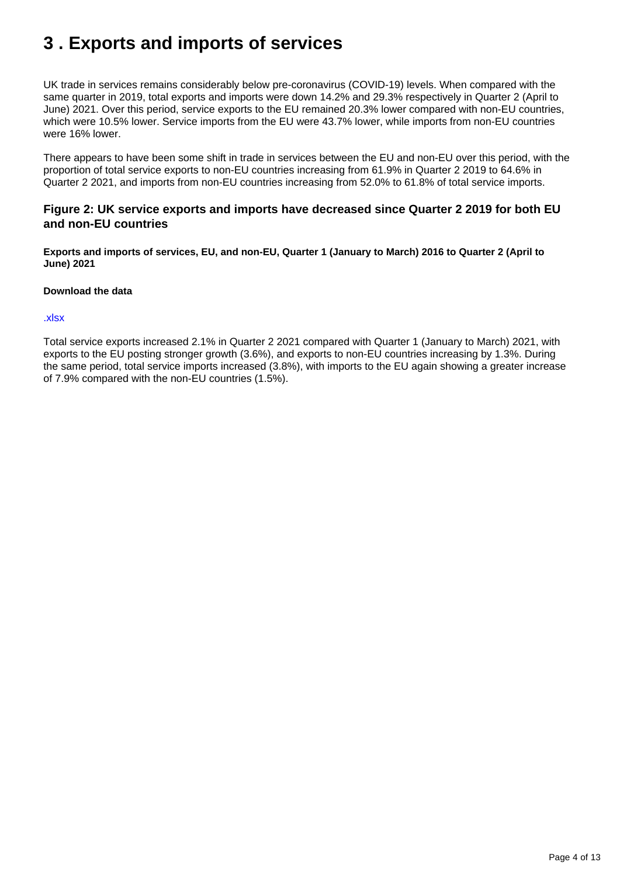## <span id="page-3-0"></span>**3 . Exports and imports of services**

UK trade in services remains considerably below pre-coronavirus (COVID-19) levels. When compared with the same quarter in 2019, total exports and imports were down 14.2% and 29.3% respectively in Quarter 2 (April to June) 2021. Over this period, service exports to the EU remained 20.3% lower compared with non-EU countries, which were 10.5% lower. Service imports from the EU were 43.7% lower, while imports from non-EU countries were 16% lower.

There appears to have been some shift in trade in services between the EU and non-EU over this period, with the proportion of total service exports to non-EU countries increasing from 61.9% in Quarter 2 2019 to 64.6% in Quarter 2 2021, and imports from non-EU countries increasing from 52.0% to 61.8% of total service imports.

#### **Figure 2: UK service exports and imports have decreased since Quarter 2 2019 for both EU and non-EU countries**

**Exports and imports of services, EU, and non-EU, Quarter 1 (January to March) 2016 to Quarter 2 (April to June) 2021**

#### **Download the data**

#### [.xlsx](https://www.ons.gov.uk/visualisations/dvc1682/fig2/datadownload.xlsx)

Total service exports increased 2.1% in Quarter 2 2021 compared with Quarter 1 (January to March) 2021, with exports to the EU posting stronger growth (3.6%), and exports to non-EU countries increasing by 1.3%. During the same period, total service imports increased (3.8%), with imports to the EU again showing a greater increase of 7.9% compared with the non-EU countries (1.5%).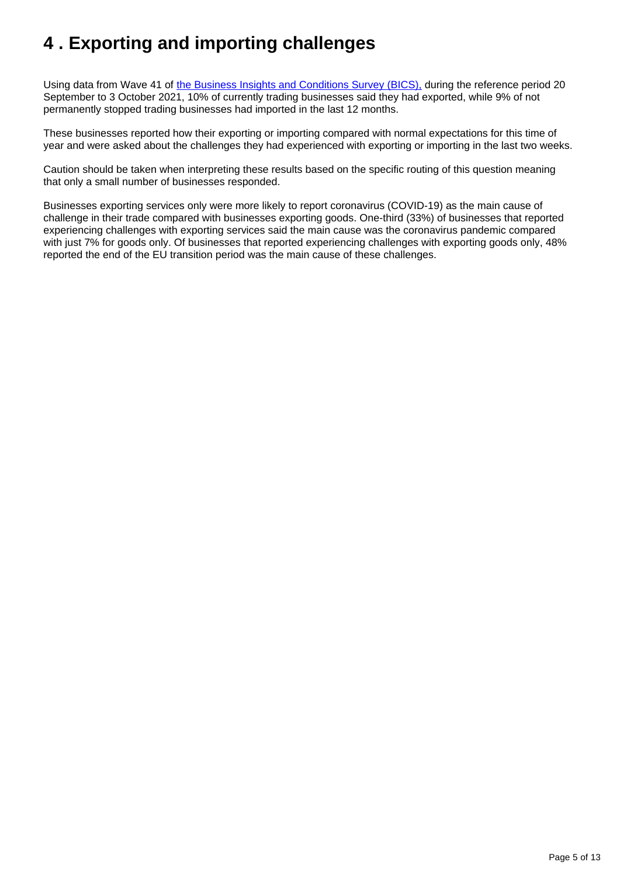## <span id="page-4-0"></span>**4 . Exporting and importing challenges**

Using data from Wave 41 of [the Business Insights and Conditions Survey \(BICS\),](https://www.ons.gov.uk/economy/economicoutputandproductivity/output/datasets/businessinsightsandimpactontheukeconomy) during the reference period 20 September to 3 October 2021, 10% of currently trading businesses said they had exported, while 9% of not permanently stopped trading businesses had imported in the last 12 months.

These businesses reported how their exporting or importing compared with normal expectations for this time of year and were asked about the challenges they had experienced with exporting or importing in the last two weeks.

Caution should be taken when interpreting these results based on the specific routing of this question meaning that only a small number of businesses responded.

Businesses exporting services only were more likely to report coronavirus (COVID-19) as the main cause of challenge in their trade compared with businesses exporting goods. One-third (33%) of businesses that reported experiencing challenges with exporting services said the main cause was the coronavirus pandemic compared with just 7% for goods only. Of businesses that reported experiencing challenges with exporting goods only, 48% reported the end of the EU transition period was the main cause of these challenges.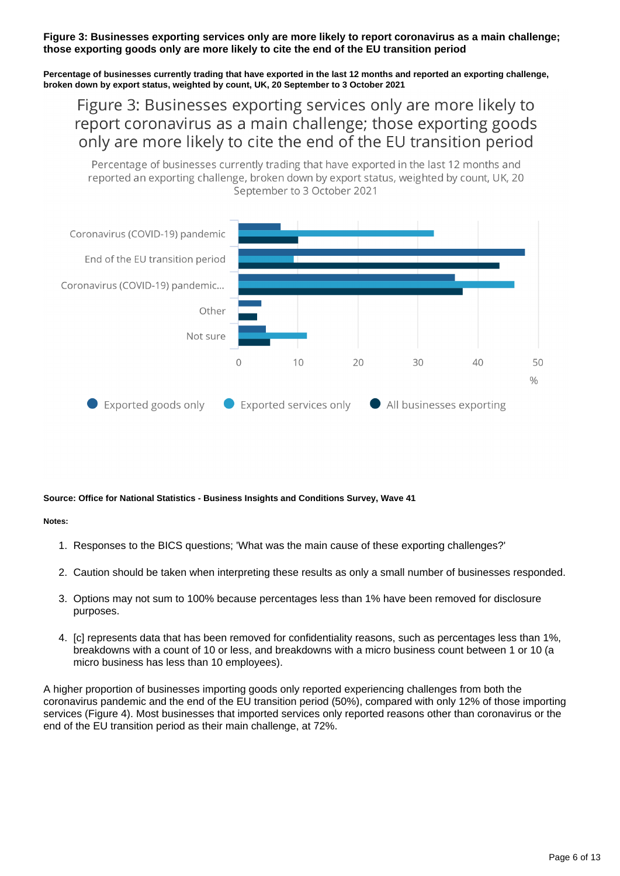#### **Figure 3: Businesses exporting services only are more likely to report coronavirus as a main challenge; those exporting goods only are more likely to cite the end of the EU transition period**

**Percentage of businesses currently trading that have exported in the last 12 months and reported an exporting challenge, broken down by export status, weighted by count, UK, 20 September to 3 October 2021**

## Figure 3: Businesses exporting services only are more likely to report coronavirus as a main challenge; those exporting goods only are more likely to cite the end of the EU transition period

Percentage of businesses currently trading that have exported in the last 12 months and reported an exporting challenge, broken down by export status, weighted by count, UK, 20 September to 3 October 2021



#### **Source: Office for National Statistics - Business Insights and Conditions Survey, Wave 41**

#### **Notes:**

- 1. Responses to the BICS questions; 'What was the main cause of these exporting challenges?'
- 2. Caution should be taken when interpreting these results as only a small number of businesses responded.
- 3. Options may not sum to 100% because percentages less than 1% have been removed for disclosure purposes.
- 4. [c] represents data that has been removed for confidentiality reasons, such as percentages less than 1%, breakdowns with a count of 10 or less, and breakdowns with a micro business count between 1 or 10 (a micro business has less than 10 employees).

A higher proportion of businesses importing goods only reported experiencing challenges from both the coronavirus pandemic and the end of the EU transition period (50%), compared with only 12% of those importing services (Figure 4). Most businesses that imported services only reported reasons other than coronavirus or the end of the EU transition period as their main challenge, at 72%.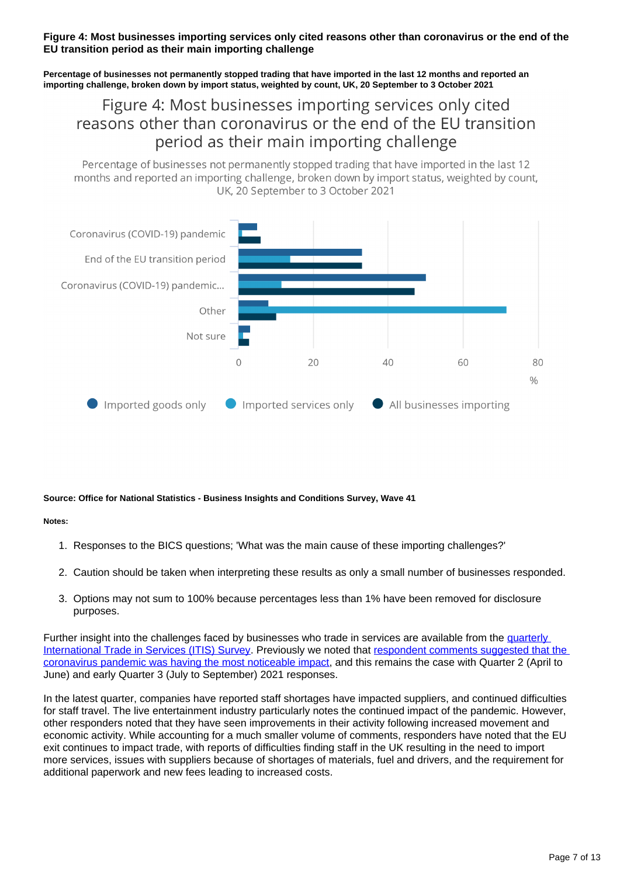#### **Figure 4: Most businesses importing services only cited reasons other than coronavirus or the end of the EU transition period as their main importing challenge**

**Percentage of businesses not permanently stopped trading that have imported in the last 12 months and reported an importing challenge, broken down by import status, weighted by count, UK, 20 September to 3 October 2021**

## Figure 4: Most businesses importing services only cited reasons other than coronavirus or the end of the EU transition period as their main importing challenge

Percentage of businesses not permanently stopped trading that have imported in the last 12 months and reported an importing challenge, broken down by import status, weighted by count. UK. 20 September to 3 October 2021



#### **Source: Office for National Statistics - Business Insights and Conditions Survey, Wave 41**

#### **Notes:**

- 1. Responses to the BICS questions; 'What was the main cause of these importing challenges?'
- 2. Caution should be taken when interpreting these results as only a small number of businesses responded.
- 3. Options may not sum to 100% because percentages less than 1% have been removed for disclosure purposes.

Further insight into the challenges faced by businesses who trade in services are available from the quarterly [International Trade in Services \(ITIS\) Survey.](https://www.ons.gov.uk/surveys/informationforbusinesses/businesssurveys/quarterlysurveyofinternationaltradeinservices) Previously we noted that [respondent comments suggested that the](https://www.ons.gov.uk/economy/nationalaccounts/balanceofpayments/articles/theimpactsofeuexitandcoronaviruscovid19onuktradeinservices/july2021)  [coronavirus pandemic was having the most noticeable impact](https://www.ons.gov.uk/economy/nationalaccounts/balanceofpayments/articles/theimpactsofeuexitandcoronaviruscovid19onuktradeinservices/july2021), and this remains the case with Quarter 2 (April to June) and early Quarter 3 (July to September) 2021 responses.

In the latest quarter, companies have reported staff shortages have impacted suppliers, and continued difficulties for staff travel. The live entertainment industry particularly notes the continued impact of the pandemic. However, other responders noted that they have seen improvements in their activity following increased movement and economic activity. While accounting for a much smaller volume of comments, responders have noted that the EU exit continues to impact trade, with reports of difficulties finding staff in the UK resulting in the need to import more services, issues with suppliers because of shortages of materials, fuel and drivers, and the requirement for additional paperwork and new fees leading to increased costs.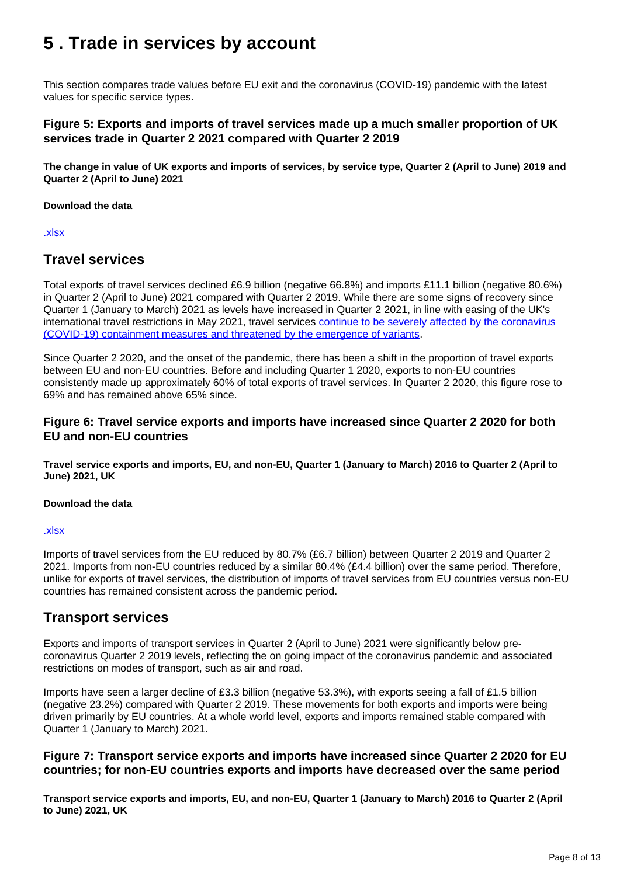## <span id="page-7-0"></span>**5 . Trade in services by account**

This section compares trade values before EU exit and the coronavirus (COVID-19) pandemic with the latest values for specific service types.

#### **Figure 5: Exports and imports of travel services made up a much smaller proportion of UK services trade in Quarter 2 2021 compared with Quarter 2 2019**

**The change in value of UK exports and imports of services, by service type, Quarter 2 (April to June) 2019 and Quarter 2 (April to June) 2021**

#### **Download the data**

[.xlsx](https://www.ons.gov.uk/visualisations/dvc1682/fig5/datadownload.xlsx)

### **Travel services**

Total exports of travel services declined £6.9 billion (negative 66.8%) and imports £11.1 billion (negative 80.6%) in Quarter 2 (April to June) 2021 compared with Quarter 2 2019. While there are some signs of recovery since Quarter 1 (January to March) 2021 as levels have increased in Quarter 2 2021, in line with easing of the UK's international travel restrictions in May 2021, travel services [continue to be severely affected by the coronavirus](https://www.oecd.org/trade/morenews/international-trade-statistics-trends-in-second-quarter-2021.htm)  [\(COVID-19\) containment measures and threatened by the emergence of variants](https://www.oecd.org/trade/morenews/international-trade-statistics-trends-in-second-quarter-2021.htm).

Since Quarter 2 2020, and the onset of the pandemic, there has been a shift in the proportion of travel exports between EU and non-EU countries. Before and including Quarter 1 2020, exports to non-EU countries consistently made up approximately 60% of total exports of travel services. In Quarter 2 2020, this figure rose to 69% and has remained above 65% since.

#### **Figure 6: Travel service exports and imports have increased since Quarter 2 2020 for both EU and non-EU countries**

**Travel service exports and imports, EU, and non-EU, Quarter 1 (January to March) 2016 to Quarter 2 (April to June) 2021, UK**

#### **Download the data**

#### [.xlsx](https://www.ons.gov.uk/visualisations/dvc1682/fig6/datadownload.xlsx)

Imports of travel services from the EU reduced by 80.7% (£6.7 billion) between Quarter 2 2019 and Quarter 2 2021. Imports from non-EU countries reduced by a similar 80.4% (£4.4 billion) over the same period. Therefore, unlike for exports of travel services, the distribution of imports of travel services from EU countries versus non-EU countries has remained consistent across the pandemic period.

### **Transport services**

Exports and imports of transport services in Quarter 2 (April to June) 2021 were significantly below precoronavirus Quarter 2 2019 levels, reflecting the on going impact of the coronavirus pandemic and associated restrictions on modes of transport, such as air and road.

Imports have seen a larger decline of £3.3 billion (negative 53.3%), with exports seeing a fall of £1.5 billion (negative 23.2%) compared with Quarter 2 2019. These movements for both exports and imports were being driven primarily by EU countries. At a whole world level, exports and imports remained stable compared with Quarter 1 (January to March) 2021.

#### **Figure 7: Transport service exports and imports have increased since Quarter 2 2020 for EU countries; for non-EU countries exports and imports have decreased over the same period**

**Transport service exports and imports, EU, and non-EU, Quarter 1 (January to March) 2016 to Quarter 2 (April to June) 2021, UK**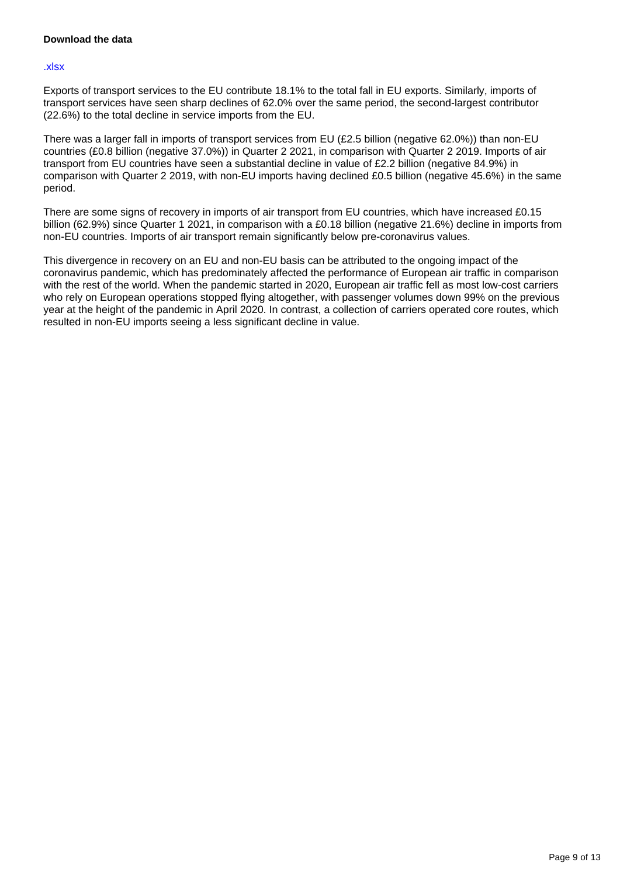#### **Download the data**

#### [.xlsx](https://www.ons.gov.uk/visualisations/dvc1682/fig7/datadownload.xlsx)

Exports of transport services to the EU contribute 18.1% to the total fall in EU exports. Similarly, imports of transport services have seen sharp declines of 62.0% over the same period, the second-largest contributor (22.6%) to the total decline in service imports from the EU.

There was a larger fall in imports of transport services from EU (£2.5 billion (negative 62.0%)) than non-EU countries (£0.8 billion (negative 37.0%)) in Quarter 2 2021, in comparison with Quarter 2 2019. Imports of air transport from EU countries have seen a substantial decline in value of £2.2 billion (negative 84.9%) in comparison with Quarter 2 2019, with non-EU imports having declined £0.5 billion (negative 45.6%) in the same period.

There are some signs of recovery in imports of air transport from EU countries, which have increased £0.15 billion (62.9%) since Quarter 1 2021, in comparison with a £0.18 billion (negative 21.6%) decline in imports from non-EU countries. Imports of air transport remain significantly below pre-coronavirus values.

This divergence in recovery on an EU and non-EU basis can be attributed to the ongoing impact of the coronavirus pandemic, which has predominately affected the performance of European air traffic in comparison with the rest of the world. When the pandemic started in 2020, European air traffic fell as most low-cost carriers who rely on European operations stopped flying altogether, with passenger volumes down 99% on the previous year at the height of the pandemic in April 2020. In contrast, a collection of carriers operated core routes, which resulted in non-EU imports seeing a less significant decline in value.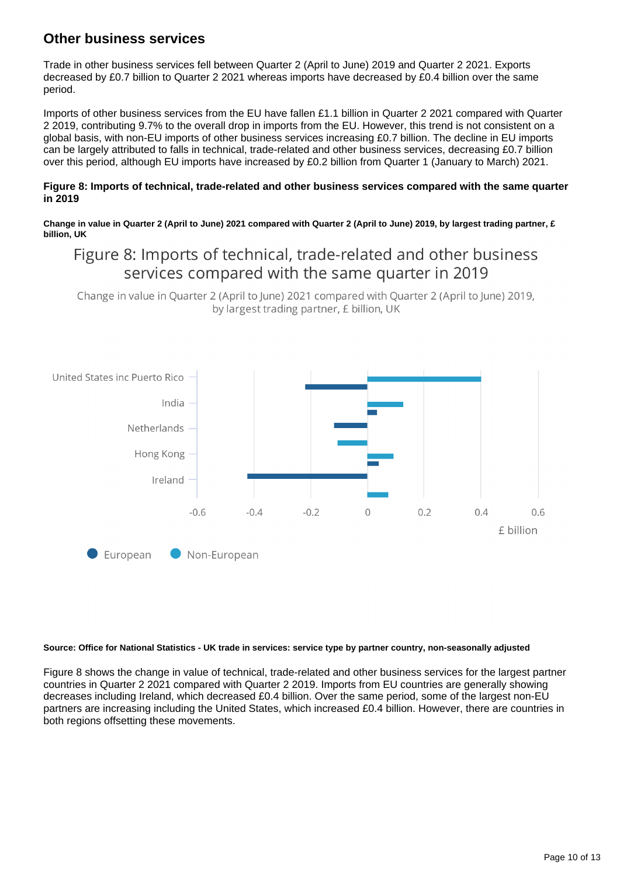### **Other business services**

Trade in other business services fell between Quarter 2 (April to June) 2019 and Quarter 2 2021. Exports decreased by £0.7 billion to Quarter 2 2021 whereas imports have decreased by £0.4 billion over the same period.

Imports of other business services from the EU have fallen £1.1 billion in Quarter 2 2021 compared with Quarter 2 2019, contributing 9.7% to the overall drop in imports from the EU. However, this trend is not consistent on a global basis, with non-EU imports of other business services increasing £0.7 billion. The decline in EU imports can be largely attributed to falls in technical, trade-related and other business services, decreasing £0.7 billion over this period, although EU imports have increased by £0.2 billion from Quarter 1 (January to March) 2021.

#### **Figure 8: Imports of technical, trade-related and other business services compared with the same quarter in 2019**

**Change in value in Quarter 2 (April to June) 2021 compared with Quarter 2 (April to June) 2019, by largest trading partner, £ billion, UK**

## Figure 8: Imports of technical, trade-related and other business services compared with the same quarter in 2019

Change in value in Quarter 2 (April to June) 2021 compared with Quarter 2 (April to June) 2019, by largest trading partner, £ billion, UK



#### **Source: Office for National Statistics - UK trade in services: service type by partner country, non-seasonally adjusted**

Figure 8 shows the change in value of technical, trade-related and other business services for the largest partner countries in Quarter 2 2021 compared with Quarter 2 2019. Imports from EU countries are generally showing decreases including Ireland, which decreased £0.4 billion. Over the same period, some of the largest non-EU partners are increasing including the United States, which increased £0.4 billion. However, there are countries in both regions offsetting these movements.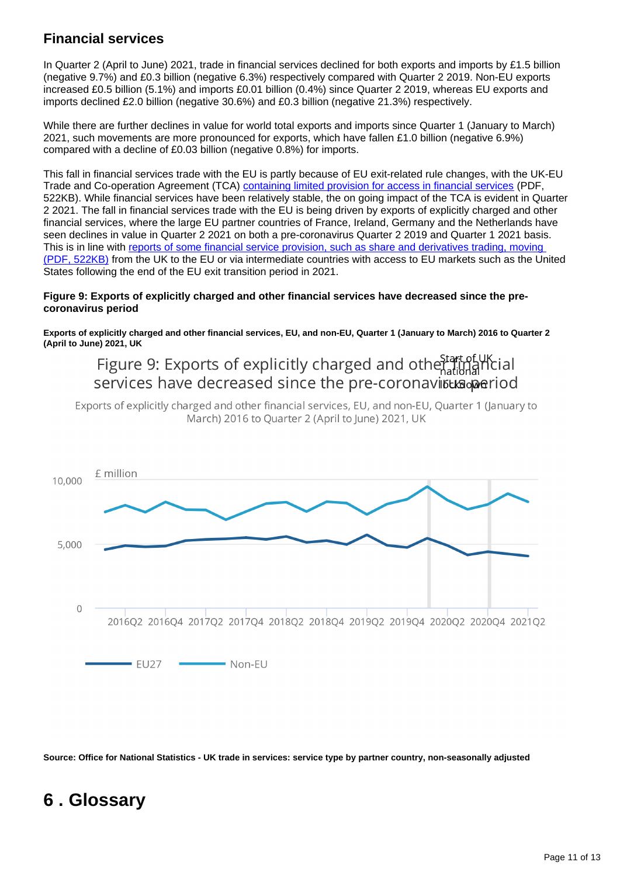## **Financial services**

In Quarter 2 (April to June) 2021, trade in financial services declined for both exports and imports by £1.5 billion (negative 9.7%) and £0.3 billion (negative 6.3%) respectively compared with Quarter 2 2019. Non-EU exports increased £0.5 billion (5.1%) and imports £0.01 billion (0.4%) since Quarter 2 2019, whereas EU exports and imports declined £2.0 billion (negative 30.6%) and £0.3 billion (negative 21.3%) respectively.

While there are further declines in value for world total exports and imports since Quarter 1 (January to March) 2021, such movements are more pronounced for exports, which have fallen £1.0 billion (negative 6.9%) compared with a decline of £0.03 billion (negative 0.8%) for imports.

This fall in financial services trade with the EU is partly because of EU exit-related rule changes, with the UK-EU Trade and Co-operation Agreement (TCA) [containing limited provision for access in financial services](https://researchbriefings.files.parliament.uk/documents/SN06193/SN06193.pdf) (PDF, 522KB). While financial services have been relatively stable, the on going impact of the TCA is evident in Quarter 2 2021. The fall in financial services trade with the EU is being driven by exports of explicitly charged and other financial services, where the large EU partner countries of France, Ireland, Germany and the Netherlands have seen declines in value in Quarter 2 2021 on both a pre-coronavirus Quarter 2 2019 and Quarter 1 2021 basis. This is in line with [reports of some financial service provision, such as share and derivatives trading, moving](https://researchbriefings.files.parliament.uk/documents/SN06193/SN06193.pdf)  [\(PDF, 522KB\)](https://researchbriefings.files.parliament.uk/documents/SN06193/SN06193.pdf) from the UK to the EU or via intermediate countries with access to EU markets such as the United States following the end of the EU exit transition period in 2021.

#### **Figure 9: Exports of explicitly charged and other financial services have decreased since the precoronavirus period**

**Exports of explicitly charged and other financial services, EU, and non-EU, Quarter 1 (January to March) 2016 to Quarter 2 (April to June) 2021, UK**

Figure 9: Exports of explicitly charged and othe Start of UK ial services have decreased since the pre-coronavirusts aperiod

Exports of explicitly charged and other financial services. EU, and non-EU, Quarter 1 (January to March) 2016 to Ouarter 2 (April to June) 2021, UK



**Source: Office for National Statistics - UK trade in services: service type by partner country, non-seasonally adjusted**

## <span id="page-10-0"></span>**6 . Glossary**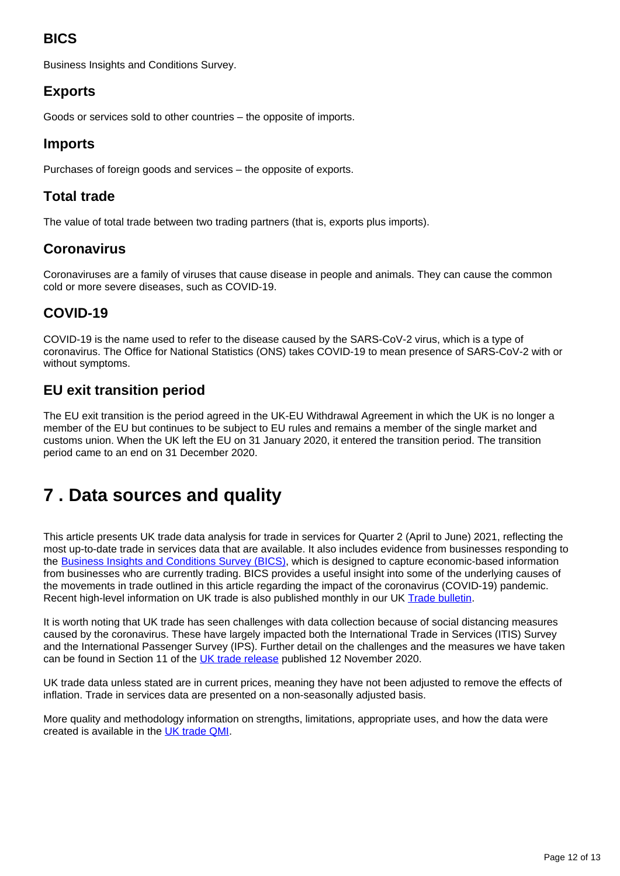## **BICS**

Business Insights and Conditions Survey.

### **Exports**

Goods or services sold to other countries – the opposite of imports.

### **Imports**

Purchases of foreign goods and services – the opposite of exports.

### **Total trade**

The value of total trade between two trading partners (that is, exports plus imports).

### **Coronavirus**

Coronaviruses are a family of viruses that cause disease in people and animals. They can cause the common cold or more severe diseases, such as COVID-19.

### **COVID-19**

COVID-19 is the name used to refer to the disease caused by the SARS-CoV-2 virus, which is a type of coronavirus. The Office for National Statistics (ONS) takes COVID-19 to mean presence of SARS-CoV-2 with or without symptoms.

### **EU exit transition period**

The EU exit transition is the period agreed in the UK-EU Withdrawal Agreement in which the UK is no longer a member of the EU but continues to be subject to EU rules and remains a member of the single market and customs union. When the UK left the EU on 31 January 2020, it entered the transition period. The transition period came to an end on 31 December 2020.

## <span id="page-11-0"></span>**7 . Data sources and quality**

This article presents UK trade data analysis for trade in services for Quarter 2 (April to June) 2021, reflecting the most up-to-date trade in services data that are available. It also includes evidence from businesses responding to the **Business Insights and Conditions Survey (BICS)**, which is designed to capture economic-based information from businesses who are currently trading. BICS provides a useful insight into some of the underlying causes of the movements in trade outlined in this article regarding the impact of the coronavirus (COVID-19) pandemic. Recent high-level information on UK trade is also published monthly in our UK [Trade bulletin](https://www.ons.gov.uk/economy/nationalaccounts/balanceofpayments/bulletins/uktrade/previousReleases).

It is worth noting that UK trade has seen challenges with data collection because of social distancing measures caused by the coronavirus. These have largely impacted both the International Trade in Services (ITIS) Survey and the International Passenger Survey (IPS). Further detail on the challenges and the measures we have taken can be found in Section 11 of the [UK trade release](https://www.ons.gov.uk/economy/nationalaccounts/balanceofpayments/bulletins/uktrade/september2020#measuring-the-data) published 12 November 2020.

UK trade data unless stated are in current prices, meaning they have not been adjusted to remove the effects of inflation. Trade in services data are presented on a non-seasonally adjusted basis.

More quality and methodology information on strengths, limitations, appropriate uses, and how the data were created is available in the [UK trade QMI](https://www.ons.gov.uk/economy/nationalaccounts/balanceofpayments/methodologies/uktradeqmi).